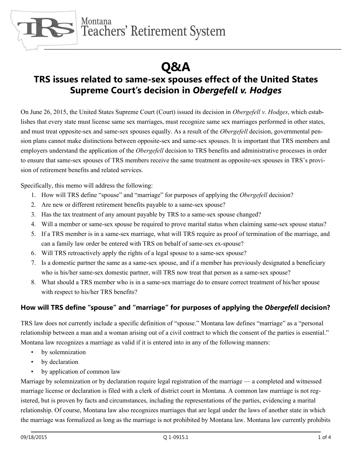

Montana Teachers' Retirement System

# **Q&A**

# **TRS issues related to same-sex spouses effect of the United States Supreme Court's decision in** *Obergefell v. Hodges*

On June 26, 2015, the United States Supreme Court (Court) issued its decision in *Obergefell v. Hodges*, which establishes that every state must license same sex marriages, must recognize same sex marriages performed in other states, and must treat opposite-sex and same-sex spouses equally. As a result of the *Obergefell* decision, governmental pension plans cannot make distinctions between opposite-sex and same-sex spouses. It is important that TRS members and employers understand the application of the *Obergefell* decision to TRS benefits and administrative processes in order to ensure that same-sex spouses of TRS members receive the same treatment as opposite-sex spouses in TRS's provision of retirement benefits and related services.

Specifically, this memo will address the following:

- 1. How will TRS define "spouse" and "marriage" for purposes of applying the *Obergefell* decision?
- 2. Are new or different retirement benefits payable to a same-sex spouse?
- 3. Has the tax treatment of any amount payable by TRS to a same-sex spouse changed?
- 4. Will a member or same-sex spouse be required to prove marital status when claiming same-sex spouse status?
- 5. If a TRS member is in a same-sex marriage, what will TRS require as proof of termination of the marriage, and can a family law order be entered with TRS on behalf of same-sex ex-spouse?
- 6. Will TRS retroactively apply the rights of a legal spouse to a same-sex spouse?
- 7. Is a domestic partner the same as a same-sex spouse, and if a member has previously designated a beneficiary who is his/her same-sex domestic partner, will TRS now treat that person as a same-sex spouse?
- 8. What should a TRS member who is in a same-sex marriage do to ensure correct treatment of his/her spouse with respect to his/her TRS benefits?

## **How will TRS define "spouse" and "marriage" for purposes of applying the** *Obergefell* **decision?**

TRS law does not currently include a specific definition of "spouse." Montana law defines "marriage" as a "personal relationship between a man and a woman arising out of a civil contract to which the consent of the parties is essential." Montana law recognizes a marriage as valid if it is entered into in any of the following manners:

- by solemnization
- by declaration
- by application of common law

Marriage by solemnization or by declaration require legal registration of the marriage — a completed and witnessed marriage license or declaration is filed with a clerk of district court in Montana. A common law marriage is not registered, but is proven by facts and circumstances, including the representations of the parties, evidencing a marital relationship. Of course, Montana law also recognizes marriages that are legal under the laws of another state in which the marriage was formalized as long as the marriage is not prohibited by Montana law. Montana law currently prohibits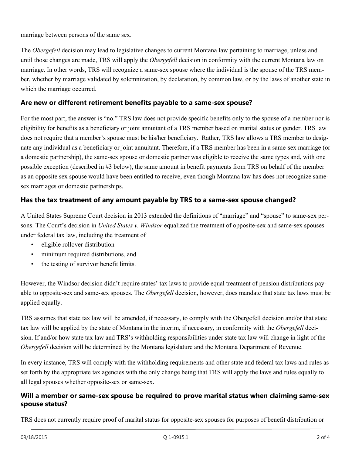marriage between persons of the same sex.

The *Obergefell* decision may lead to legislative changes to current Montana law pertaining to marriage, unless and until those changes are made, TRS will apply the *Obergefell* decision in conformity with the current Montana law on marriage. In other words, TRS will recognize a same-sex spouse where the individual is the spouse of the TRS member, whether by marriage validated by solemnization, by declaration, by common law, or by the laws of another state in which the marriage occurred.

#### **Are new or different retirement benefits payable to a same-sex spouse?**

For the most part, the answer is "no." TRS law does not provide specific benefits only to the spouse of a member nor is eligibility for benefits as a beneficiary or joint annuitant of a TRS member based on marital status or gender. TRS law does not require that a member's spouse must be his/her beneficiary. Rather, TRS law allows a TRS member to designate any individual as a beneficiary or joint annuitant. Therefore, if a TRS member has been in a same-sex marriage (or a domestic partnership), the same-sex spouse or domestic partner was eligible to receive the same types and, with one possible exception (described in #3 below), the same amount in benefit payments from TRS on behalf of the member as an opposite sex spouse would have been entitled to receive, even though Montana law has does not recognize samesex marriages or domestic partnerships.

#### **Has the tax treatment of any amount payable by TRS to a same-sex spouse changed?**

A United States Supreme Court decision in 2013 extended the definitions of "marriage" and "spouse" to same-sex persons. The Court's decision in *United States v. Windsor* equalized the treatment of opposite-sex and same-sex spouses under federal tax law, including the treatment of

- eligible rollover distribution
- • minimum required distributions, and
- the testing of survivor benefit limits.

However, the Windsor decision didn't require states' tax laws to provide equal treatment of pension distributions payable to opposite-sex and same-sex spouses. The *Obergefell* decision, however, does mandate that state tax laws must be applied equally.

TRS assumes that state tax law will be amended, if necessary, to comply with the Obergefell decision and/or that state tax law will be applied by the state of Montana in the interim, if necessary, in conformity with the *Obergefell* decision. If and/or how state tax law and TRS's withholding responsibilities under state tax law will change in light of the *Obergefell* decision will be determined by the Montana legislature and the Montana Department of Revenue.

In every instance, TRS will comply with the withholding requirements and other state and federal tax laws and rules as set forth by the appropriate tax agencies with the only change being that TRS will apply the laws and rules equally to all legal spouses whether opposite-sex or same-sex.

#### **Will a member or same-sex spouse be required to prove marital status when claiming same-sex spouse status?**

TRS does not currently require proof of marital status for opposite-sex spouses for purposes of benefit distribution or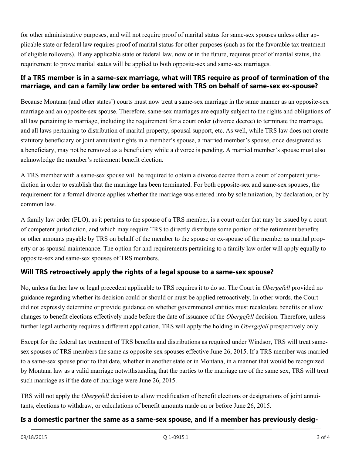for other administrative purposes, and will not require proof of marital status for same-sex spouses unless other applicable state or federal law requires proof of marital status for other purposes (such as for the favorable tax treatment of eligible rollovers). If any applicable state or federal law, now or in the future, requires proof of marital status, the requirement to prove marital status will be applied to both opposite-sex and same-sex marriages.

## **If a TRS member is in a same-sex marriage, what will TRS require as proof of termination of the marriage, and can a family law order be entered with TRS on behalf of same-sex ex-spouse?**

Because Montana (and other states') courts must now treat a same-sex marriage in the same manner as an opposite-sex marriage and an opposite-sex spouse. Therefore, same-sex marriages are equally subject to the rights and obligations of all law pertaining to marriage, including the requirement for a court order (divorce decree) to terminate the marriage, and all laws pertaining to distribution of marital property, spousal support, etc. As well, while TRS law does not create statutory beneficiary or joint annuitant rights in a member's spouse, a married member's spouse, once designated as a beneficiary, may not be removed as a beneficiary while a divorce is pending. A married member's spouse must also acknowledge the member's retirement benefit election.

A TRS member with a same-sex spouse will be required to obtain a divorce decree from a court of competent jurisdiction in order to establish that the marriage has been terminated. For both opposite-sex and same-sex spouses, the requirement for a formal divorce applies whether the marriage was entered into by solemnization, by declaration, or by common law.

A family law order (FLO), as it pertains to the spouse of a TRS member, is a court order that may be issued by a court of competent jurisdiction, and which may require TRS to directly distribute some portion of the retirement benefits or other amounts payable by TRS on behalf of the member to the spouse or ex-spouse of the member as marital property or as spousal maintenance. The option for and requirements pertaining to a family law order will apply equally to opposite-sex and same-sex spouses of TRS members.

# **Will TRS retroactively apply the rights of a legal spouse to a same-sex spouse?**

No, unless further law or legal precedent applicable to TRS requires it to do so. The Court in *Obergefell* provided no guidance regarding whether its decision could or should or must be applied retroactively. In other words, the Court did not expressly determine or provide guidance on whether governmental entities must recalculate benefits or allow changes to benefit elections effectively made before the date of issuance of the *Obergefell* decision. Therefore, unless further legal authority requires a different application, TRS will apply the holding in *Obergefell* prospectively only.

Except for the federal tax treatment of TRS benefits and distributions as required under Windsor, TRS will treat samesex spouses of TRS members the same as opposite-sex spouses effective June 26, 2015. If a TRS member was married to a same-sex spouse prior to that date, whether in another state or in Montana, in a manner that would be recognized by Montana law as a valid marriage notwithstanding that the parties to the marriage are of the same sex, TRS will treat such marriage as if the date of marriage were June 26, 2015.

TRS will not apply the *Obergefell* decision to allow modification of benefit elections or designations of joint annuitants, elections to withdraw, or calculations of benefit amounts made on or before June 26, 2015.

#### **Is a domestic partner the same as a same-sex spouse, and if a member has previously desig-**